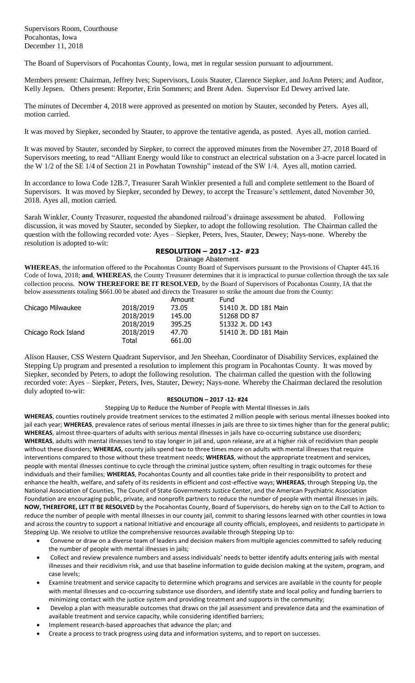The Board of Supervisors of Pocahontas County, Iowa, met in regular session pursuant to adjournment.

Members present: Chairman, Jeffrey Ives; Supervisors, Louis Stauter, Clarence Siepker, and JoAnn Peters; and Auditor, Kelly Jepsen. Others present: Reporter, Erin Sommers; and Brent Aden. Supervisor Ed Dewey arrived late.

The minutes of December 4, 2018 were approved as presented on motion by Stauter, seconded by Peters. Ayes all, motion carried.

It was moved by Siepker, seconded by Stauter, to approve the tentative agenda, as posted. Ayes all, motion carried.

It was moved by Stauter, seconded by Siepker, to correct the approved minutes from the November 27, 2018 Board of Supervisors meeting, to read "Alliant Energy would like to construct an electrical substation on a 3-acre parcel located in the W 1/2 of the SE 1/4 of Section 21 in Powhatan Township" instead of the SW 1/4. Ayes all, motion carried.

In accordance to Iowa Code 12B.7, Treasurer Sarah Winkler presented a full and complete settlement to the Board of Supervisors. It was moved by Siepker, seconded by Dewey, to accept the Treasure's settlement, dated November 30, 2018. Ayes all, motion carried.

Sarah Winkler, County Treasurer, requested the abandoned railroad's drainage assessment be abated. Following discussion, it was moved by Stauter, seconded by Siepker, to adopt the following resolution. The Chairman called the question with the following recorded vote: Ayes – Siepker, Peters, Ives, Stauter, Dewey; Nays-none. Whereby the resolution is adopted to-wit:

## **RESOLUTION – 2017 -12- #23**

Drainage Abatement

**WHEREAS**, the information offered to the Pocahontas County Board of Supervisors pursuant to the Provisions of Chapter 445.16 Code of Iowa, 2018; **and**, **WHEREAS**, the County Treasurer determines that it is impractical to pursue collection through the tax sale collection process. **NOW THEREFORE BE IT RESOLVED**, by the Board of Supervisors of Pocahontas County, IA that the below assessments totaling \$661.00 be abated and directs the Treasurer to strike the amount due from the County:

|                     |           | Amount | Fund                  |
|---------------------|-----------|--------|-----------------------|
| Chicago Milwaukee   | 2018/2019 | 73.05  | 51410 Jt. DD 181 Main |
|                     | 2018/2019 | 145.00 | 51268 DD 87           |
|                     | 2018/2019 | 395.25 | 51332 Jt. DD 143      |
| Chicago Rock Island | 2018/2019 | 47.70  | 51410 Jt. DD 181 Main |
|                     | Total     | 661.00 |                       |

Alison Hauser, CSS Western Quadrant Supervisor, and Jen Sheehan, Coordinator of Disability Services, explained the Stepping Up program and presented a resolution to implement this program in Pocahontas County. It was moved by Siepker, seconded by Peters, to adopt the following resolution. The chairman called the question with the following recorded vote: Ayes – Siepker, Peters, Ives, Stauter, Dewey; Nays-none. Whereby the Chairman declared the resolution duly adopted to-wit:

## **RESOLUTION – 2017 -12- #24**

Stepping Up to Reduce the Number of People with Mental Illnesses in Jails

**WHEREAS**, counties routinely provide treatment services to the estimated 2 million people with serious mental illnesses booked into jail each year; **WHEREAS**, prevalence rates of serious mental illnesses in jails are three to six times higher than for the general public; **WHEREAS**, almost three-quarters of adults with serious mental illnesses in jails have co-occurring substance use disorders; **WHEREAS**, adults with mental illnesses tend to stay longer in jail and, upon release, are at a higher risk of recidivism than people without these disorders; **WHEREAS**, county jails spend two to three times more on adults with mental illnesses that require interventions compared to those without these treatment needs; **WHEREAS**, without the appropriate treatment and services, people with mental illnesses continue to cycle through the criminal justice system, often resulting in tragic outcomes for these individuals and their families; **WHEREAS**, Pocahontas County and all counties take pride in their responsibility to protect and enhance the health, welfare, and safety of its residents in efficient and cost-effective ways; **WHEREAS**, through Stepping Up, the National Association of Counties, The Council of State Governments Justice Center, and the American Psychiatric Association Foundation are encouraging public, private, and nonprofit partners to reduce the number of people with mental illnesses in jails. **NOW, THEREFORE, LET IT BE RESOLVED** by the Pocahontas County, Board of Supervisors, do hereby sign on to the Call to Action to reduce the number of people with mental illnesses in our county jail, commit to sharing lessons learned with other counties in Iowa and across the country to support a national initiative and encourage all county officials, employees, and residents to participate in Stepping Up. We resolve to utilize the comprehensive resources available through Stepping Up to:

- Convene or draw on a diverse team of leaders and decision makers from multiple agencies committed to safely reducing the number of people with mental illnesses in jails;
- Collect and review prevalence numbers and assess individuals' needs to better identify adults entering jails with mental illnesses and their recidivism risk, and use that baseline information to guide decision making at the system, program, and case levels;
- Examine treatment and service capacity to determine which programs and services are available in the county for people with mental illnesses and co-occurring substance use disorders, and identify state and local policy and funding barriers to minimizing contact with the justice system and providing treatment and supports in the community;
- Develop a plan with measurable outcomes that draws on the jail assessment and prevalence data and the examination of available treatment and service capacity, while considering identified barriers;
- Implement research-based approaches that advance the plan; and
- Create a process to track progress using data and information systems, and to report on successes.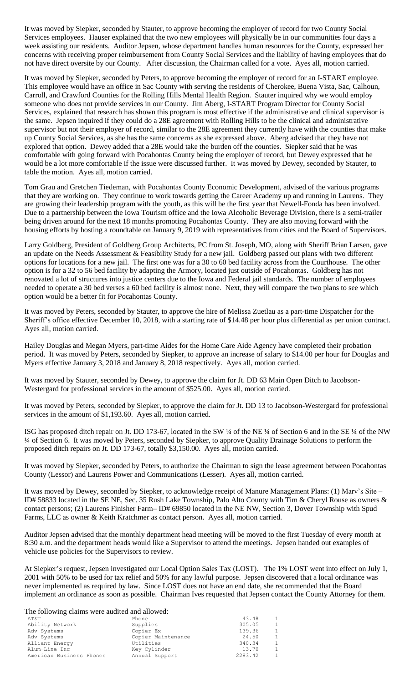It was moved by Siepker, seconded by Stauter, to approve becoming the employer of record for two County Social Services employees. Hauser explained that the two new employees will physically be in our communities four days a week assisting our residents. Auditor Jepsen, whose department handles human resources for the County, expressed her concerns with receiving proper reimbursement from County Social Services and the liability of having employees that do not have direct oversite by our County. After discussion, the Chairman called for a vote. Ayes all, motion carried.

It was moved by Siepker, seconded by Peters, to approve becoming the employer of record for an I-START employee. This employee would have an office in Sac County with serving the residents of Cherokee, Buena Vista, Sac, Calhoun, Carroll, and Crawford Counties for the Rolling Hills Mental Health Region. Stauter inquired why we would employ someone who does not provide services in our County. Jim Aberg, I-START Program Director for County Social Services, explained that research has shown this program is most effective if the administrative and clinical supervisor is the same. Jepsen inquired if they could do a 28E agreement with Rolling Hills to be the clinical and administrative supervisor but not their employer of record, similar to the 28E agreement they currently have with the counties that make up County Social Services, as she has the same concerns as she expressed above. Aberg advised that they have not explored that option. Dewey added that a 28E would take the burden off the counties. Siepker said that he was comfortable with going forward with Pocahontas County being the employer of record, but Dewey expressed that he would be a lot more comfortable if the issue were discussed further. It was moved by Dewey, seconded by Stauter, to table the motion. Ayes all, motion carried.

Tom Grau and Gretchen Tiedeman, with Pocahontas County Economic Development, advised of the various programs that they are working on. They continue to work towards getting the Career Academy up and running in Laurens. They are growing their leadership program with the youth, as this will be the first year that Newell-Fonda has been involved. Due to a partnership between the Iowa Tourism office and the Iowa Alcoholic Beverage Division, there is a semi-trailer being driven around for the next 18 months promoting Pocahontas County. They are also moving forward with the housing efforts by hosting a roundtable on January 9, 2019 with representatives from cities and the Board of Supervisors.

Larry Goldberg, President of Goldberg Group Architects, PC from St. Joseph, MO, along with Sheriff Brian Larsen, gave an update on the Needs Assessment & Feasibility Study for a new jail. Goldberg passed out plans with two different options for locations for a new jail. The first one was for a 30 to 60 bed facility across from the Courthouse. The other option is for a 32 to 56 bed facility by adapting the Armory, located just outside of Pocahontas. Goldberg has not renovated a lot of structures into justice centers due to the Iowa and Federal jail standards. The number of employees needed to operate a 30 bed verses a 60 bed facility is almost none. Next, they will compare the two plans to see which option would be a better fit for Pocahontas County.

It was moved by Peters, seconded by Stauter, to approve the hire of Melissa Zuetlau as a part-time Dispatcher for the Sheriff's office effective December 10, 2018, with a starting rate of \$14.48 per hour plus differential as per union contract. Ayes all, motion carried.

Hailey Douglas and Megan Myers, part-time Aides for the Home Care Aide Agency have completed their probation period. It was moved by Peters, seconded by Siepker, to approve an increase of salary to \$14.00 per hour for Douglas and Myers effective January 3, 2018 and January 8, 2018 respectively. Ayes all, motion carried.

It was moved by Stauter, seconded by Dewey, to approve the claim for Jt. DD 63 Main Open Ditch to Jacobson-Westergard for professional services in the amount of \$525.00. Ayes all, motion carried.

It was moved by Peters, seconded by Siepker, to approve the claim for Jt. DD 13 to Jacobson-Westergard for professional services in the amount of \$1,193.60. Ayes all, motion carried.

ISG has proposed ditch repair on Jt. DD 173-67, located in the SW ¼ of the NE ¼ of Section 6 and in the SE ¼ of the NW ¼ of Section 6. It was moved by Peters, seconded by Siepker, to approve Quality Drainage Solutions to perform the proposed ditch repairs on Jt. DD 173-67, totally \$3,150.00. Ayes all, motion carried.

It was moved by Siepker, seconded by Peters, to authorize the Chairman to sign the lease agreement between Pocahontas County (Lessor) and Laurens Power and Communications (Lesser). Ayes all, motion carried.

It was moved by Dewey, seconded by Siepker, to acknowledge receipt of Manure Management Plans: (1) Marv's Site – ID# 58833 located in the SE NE, Sec. 35 Rush Lake Township, Palo Alto County with Tim & Cheryl Rouse as owners & contact persons; (2) Laurens Finisher Farm– ID# 69850 located in the NE NW, Section 3, Dover Township with Spud Farms, LLC as owner & Keith Kratchmer as contact person. Ayes all, motion carried.

Auditor Jepsen advised that the monthly department head meeting will be moved to the first Tuesday of every month at 8:30 a.m. and the department heads would like a Supervisor to attend the meetings. Jepsen handed out examples of vehicle use policies for the Supervisors to review.

At Siepker's request, Jepsen investigated our Local Option Sales Tax (LOST). The 1% LOST went into effect on July 1, 2001 with 50% to be used for tax relief and 50% for any lawful purpose. Jepsen discovered that a local ordinance was never implemented as required by law. Since LOST does not have an end date, she recommended that the Board implement an ordinance as soon as possible. Chairman Ives requested that Jepsen contact the County Attorney for them.

The following claims were audited and allowed:

| The following claims were addited and allowed. |                    |         |                |
|------------------------------------------------|--------------------|---------|----------------|
| AΤ&Τ                                           | Phone              | 43.48   | $\mathbf{1}$   |
| Ability Network                                | Supplies           | 305.05  | $\mathbf{1}$   |
| Adv Systems                                    | Copier Ex          | 139.36  | $\overline{1}$ |
| Adv Systems                                    | Copier Maintenance | 24.50   | 1              |
| Alliant Energy                                 | Utilities          | 340.34  | $\mathbf{1}$   |
| Alum-Line Inc                                  | Key Cylinder       | 13.70   | $\mathbf{1}$   |
| American Business Phones                       | Annual Support     | 2283.42 | $\mathbf{1}$   |
|                                                |                    |         |                |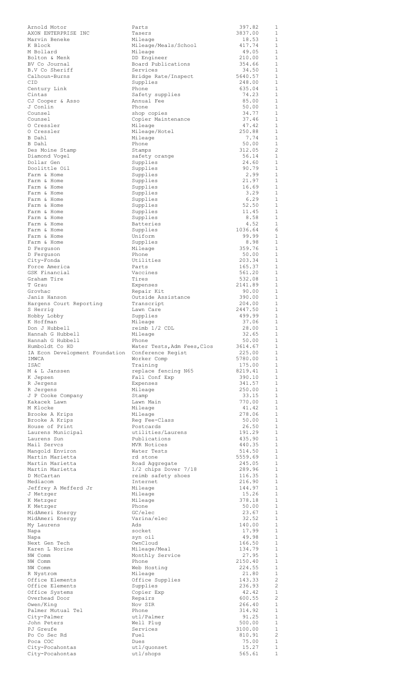| Arnold Motor<br>AXON ENTERPRISE INC              | Parts                                          | 397.82<br>3837.00 | 1<br>1                       |
|--------------------------------------------------|------------------------------------------------|-------------------|------------------------------|
| Marvin Beneke                                    | Tasers<br>Mileage                              | 18.53             | 1                            |
| K Block                                          | Mileage/Meals/School                           | 417.74            | 1                            |
| M Bollard                                        | Mileage                                        | 49.05             | $\mathbf{1}$                 |
| Bolton & Menk                                    | DD Engineer                                    | 210.00            | $\mathbf{1}$                 |
| BV Co Journal                                    | Board Publications                             | 354.66            | $\mathbf{1}$                 |
| B.V Co Sheriff<br>Calhoun-Burns                  | Services<br>Bridge Rate/Inspect                | 34.50<br>5640.57  | 1<br>$\mathbf{1}$            |
| CID                                              | Supplies                                       | 248.00            | $\mathbf{1}$                 |
| Century Link                                     | Phone                                          | 635.04            | $\mathbf{1}$                 |
| Cintas                                           | Safety supplies                                | 74.23             | 1                            |
| CJ Cooper & Asso                                 | Annual Fee                                     | 85.00             | 1                            |
| J Conlin                                         | Phone                                          | 50.00             | 1                            |
| Counsel<br>Counsel                               | shop copies<br>Copier Maintenance              | 34.77<br>37.46    | 1<br>1                       |
| 0 Cressler                                       | Mileage                                        | 47.42             | $\mathbf{1}$                 |
| 0 Cressler                                       | Mileage/Hotel                                  | 250.88            | $\mathbf{1}$                 |
| B Dahl                                           | Mileage                                        | 7.74              | $\mathbf{1}$                 |
| B Dahl                                           | Phone                                          | 50.00             | $\mathbf{1}$                 |
| Des Moine Stamp                                  | Stamps                                         | 312.05            | 2                            |
| Diamond Voqel<br>Dollar Gen                      | safety orange                                  | 56.14<br>24.60    | $\mathbf{1}$<br>$\mathbf{1}$ |
| Doolittle Oil                                    | Supplies<br>Supplies                           | 90.79             | $\mathbf{1}$                 |
| Farm & Home                                      | Supplies                                       | 2.99              | $\mathbf{1}$                 |
| Farm & Home                                      | Supplies                                       | 21.97             | $\mathbf{1}$                 |
| Farm & Home                                      | Supplies                                       | 16.69             | 1                            |
| Farm & Home                                      | Supplies                                       | 3.29              | $\mathbf{1}$                 |
| Farm & Home                                      | Supplies                                       | 6.29              | $\mathbf{1}$                 |
| Farm & Home<br>Farm & Home                       | Supplies<br>Supplies                           | 52.50<br>11.45    | $\mathbf{1}$<br>$\mathbf{1}$ |
| Farm & Home                                      | Supplies                                       | 8.58              | $\mathbf{1}$                 |
| Farm & Home                                      | Batteries                                      | 4.52              | $\mathbf{1}$                 |
| Farm & Home                                      | Supplies                                       | 1036.64           | 6                            |
| Farm & Home                                      | Uniform                                        | 99.99             | $\mathbf{1}$                 |
| Farm & Home                                      | Supplies                                       | 8.98              | $\mathbf{1}$                 |
| D Ferguson                                       | Mileage<br>Phone                               | 359.76<br>50.00   | $\mathbf{1}$<br>$\mathbf{1}$ |
| D Ferguson<br>City-Fonda                         | Utilities                                      | 203.34            | 1                            |
| Force America                                    | Parts                                          | 165.37            | $\mathbf{1}$                 |
| GSK Financial                                    | Vaccines                                       | 561.20            | $\mathbf{1}$                 |
| Graham Tire                                      | Tires                                          | 532.08            | $\mathbf{1}$                 |
| T Grau                                           | Expenses                                       | 2141.89           | $\mathbf{1}$                 |
| Grovhac<br>Janis Hanson                          | Repair Kit                                     | 90.00             | $\mathbf{1}$<br>$\mathbf{1}$ |
| Hargens Court Reporting                          | Outside Assistance<br>Transcript               | 390.00<br>204.00  | $\mathbf{1}$                 |
| S Herrig                                         | Lawn Care                                      | 2447.50           | $\mathbf{1}$                 |
| Hobby Lobby                                      | Supplies                                       | 499.99            | $\mathbf{1}$                 |
| K Hoffman                                        | Mileage                                        | 37.06             | $\mathbf{1}$                 |
| Don J Hubbell                                    | reimb 1/2 CDL                                  | 28.00             | $\mathbf{1}$                 |
| Hannah G Hubbell                                 | Mileage                                        | 32.65             | 1                            |
| Hannah G Hubbell<br>Humboldt Co HD               | Phone<br>Water Tests, Adm Fees, Clos           | 50.00<br>3614.67  | $\mathbf{1}$<br>$\mathbf{1}$ |
| IA Econ Development Foundation Conference Regist |                                                | 225.00            | $\mathbf{1}$                 |
| IMWCA                                            | Worker Comp                                    | 5780.00           | 1                            |
| ISAC                                             | Training                                       | 175.00            | 1                            |
| M & L Janssen                                    | replace fencing N65                            | 8219.41           | 1                            |
| K Jepsen                                         | Fall Conf Exp                                  | 390.10            | 1                            |
| R Jergens<br>R Jergens                           | Expenses<br>Mileage                            | 341.57<br>250.00  | 1<br>$\mathbf{1}$            |
| J P Cooke Company                                | Stamp                                          | 33.15             | 1                            |
| Kakacek Lawn                                     | Lawn Main                                      | 770.00            | $\mathbf{1}$                 |
| M Klocke                                         | Mileage                                        | 41.42             | 1                            |
| Brooke A Krips                                   | Mileage                                        | 278.06            | $\mathbf{1}$                 |
| Brooke A Krips                                   | Req Fee-Class                                  | 50.00             | 1                            |
| House of Print<br>Laurens Municipal              | Postcards<br>utilities/Laurens                 | 26.50<br>191.29   | 1<br>1                       |
| Laurens Sun                                      | Publications                                   | 435.90            | $\mathbf{1}$                 |
| Mail Servcs                                      | MVR Notices                                    | 440.35            | 1                            |
| Mangold Environ                                  | Water Tests                                    | 514.50            | 1                            |
| Martin Marietta                                  | rd stone                                       | 5559.69           | 1                            |
| Martin Marietta                                  | Road Aggregate                                 | 245.05            | $\mathbf{1}$                 |
| Martin Marietta<br>D McCartan                    | $1/2$ chips Dover $7/18$<br>reimb safety shoes | 289.96<br>116.35  | 1<br>$\mathbf{1}$            |
| Mediacom                                         | Internet                                       | 216.90            | 1                            |
| Jeffrey A Mefferd Jr                             | Mileage                                        | 144.97            | $\mathbf{1}$                 |
| J Metzger                                        | Mileage                                        | 15.26             | $\mathbf{1}$                 |
| K Metzger                                        | Mileage                                        | 378.18            | $\mathbf{1}$                 |
| K Metzger                                        | Phone                                          | 50.00             | $\mathbf{1}$                 |
| MidAmeri Energy<br>MidAmeri Energy               | GC/elec<br>Varina/elec                         | 23.67<br>32.52    | $\mathbf{1}$<br>$\mathbf{1}$ |
| My Laurens                                       | Ads                                            | 140.00            | $\mathbf{1}$                 |
| Napa                                             | socket                                         | 17.99             | $\mathbf{1}$                 |
| Napa                                             | syn oil                                        | 49.98             | $\mathbf{1}$                 |
| Next Gen Tech                                    | OwnCloud                                       | 166.50            | $\mathbf{1}$                 |
| Karen L Norine                                   | Mileage/Meal                                   | 134.79            | $\mathbf{1}$                 |
| NW Comm<br>NW Comm                               | Monthly Service<br>Phone                       | 27.95<br>2150.40  | $\mathbf{1}$<br>$\mathbf{1}$ |
| NW Comm                                          | Web Hosting                                    | 224.55            | $\mathbf{1}$                 |
| R Nystrom                                        | Mileage                                        | 21.80             | 1                            |
| Office Elements                                  | Office Supplies                                | 143.33            | 2                            |
| Office Elements                                  | Supplies                                       | 236.93            | 2                            |
| Office Systems                                   | Copier Exp                                     | 42.42<br>600.55   | $\mathbf{1}$                 |
| Overhead Door<br>Owen/Kinq                       | Repairs<br>Nov SIR                             | 266.40            | 2<br>$\mathbf{1}$            |
| Palmer Mutual Tel                                | Phone                                          | 314.92            | $\mathbf{1}$                 |
| City-Palmer                                      | utl/Palmer                                     | 91.25             | $\mathbf{1}$                 |
| John Peters                                      | Well Plug                                      | 500.00            | $\mathbf{1}$                 |
| PJ Greufe                                        | Services                                       | 3100.00           | $\mathbf{1}$                 |
| Po Co Sec Rd<br>Poca COC                         | Fuel                                           | 810.91            | 2                            |
| City-Pocahontas                                  | Dues<br>utl/quonset                            | 75.00<br>15.27    | $\mathbf 1$<br>$\mathbf 1$   |
|                                                  |                                                |                   |                              |